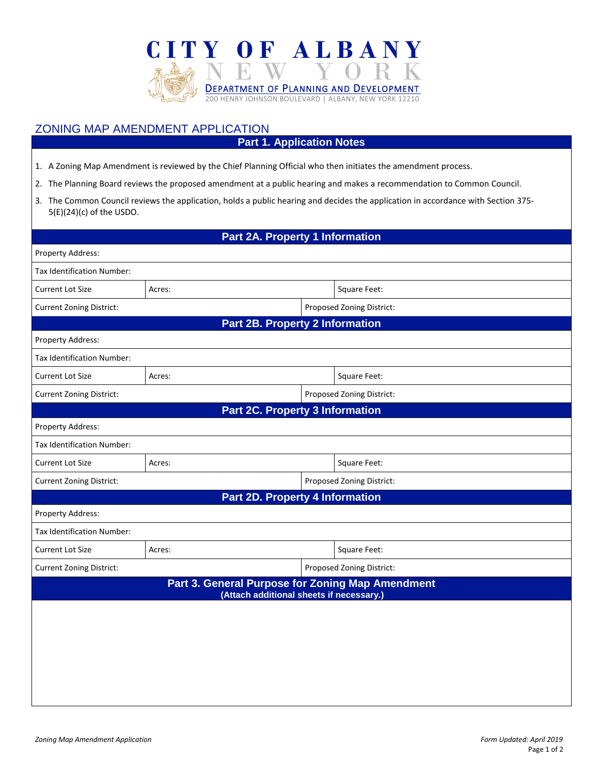

## ZONING MAP AMENDMENT APPLICATION

## **Part 1. Application Notes**

- 1. A Zoning Map Amendment is reviewed by the Chief Planning Official who then initiates the amendment process.
- 2. The Planning Board reviews the proposed amendment at a public hearing and makes a recommendation to Common Council.
- 3. The Common Council reviews the application, holds a public hearing and decides the application in accordance with Section 375- 5(E)(24)(c) of the USDO.

## **Part 2A. Property 1 Information**

| Property Address:                                            |        |                           |                           |  |  |  |  |  |
|--------------------------------------------------------------|--------|---------------------------|---------------------------|--|--|--|--|--|
| Tax Identification Number:                                   |        |                           |                           |  |  |  |  |  |
| <b>Current Lot Size</b>                                      | Acres: |                           | Square Feet:              |  |  |  |  |  |
| <b>Current Zoning District:</b>                              |        | Proposed Zoning District: |                           |  |  |  |  |  |
| <b>Part 2B. Property 2 Information</b>                       |        |                           |                           |  |  |  |  |  |
| Property Address:                                            |        |                           |                           |  |  |  |  |  |
| Tax Identification Number:                                   |        |                           |                           |  |  |  |  |  |
| <b>Current Lot Size</b>                                      | Acres: |                           | Square Feet:              |  |  |  |  |  |
| <b>Current Zoning District:</b>                              |        | Proposed Zoning District: |                           |  |  |  |  |  |
| <b>Part 2C. Property 3 Information</b>                       |        |                           |                           |  |  |  |  |  |
| Property Address:                                            |        |                           |                           |  |  |  |  |  |
| Tax Identification Number:                                   |        |                           |                           |  |  |  |  |  |
| <b>Current Lot Size</b>                                      | Acres: |                           | Square Feet:              |  |  |  |  |  |
| <b>Current Zoning District:</b>                              |        |                           | Proposed Zoning District: |  |  |  |  |  |
| <b>Part 2D. Property 4 Information</b>                       |        |                           |                           |  |  |  |  |  |
| Property Address:                                            |        |                           |                           |  |  |  |  |  |
| Tax Identification Number:                                   |        |                           |                           |  |  |  |  |  |
| <b>Current Lot Size</b>                                      | Acres: |                           | Square Feet:              |  |  |  |  |  |
| Proposed Zoning District:<br><b>Current Zoning District:</b> |        |                           |                           |  |  |  |  |  |
| Part 3. General Purpose for Zoning Map Amendment             |        |                           |                           |  |  |  |  |  |
| (Attach additional sheets if necessary.)                     |        |                           |                           |  |  |  |  |  |
|                                                              |        |                           |                           |  |  |  |  |  |
|                                                              |        |                           |                           |  |  |  |  |  |
|                                                              |        |                           |                           |  |  |  |  |  |
|                                                              |        |                           |                           |  |  |  |  |  |
|                                                              |        |                           |                           |  |  |  |  |  |
|                                                              |        |                           |                           |  |  |  |  |  |